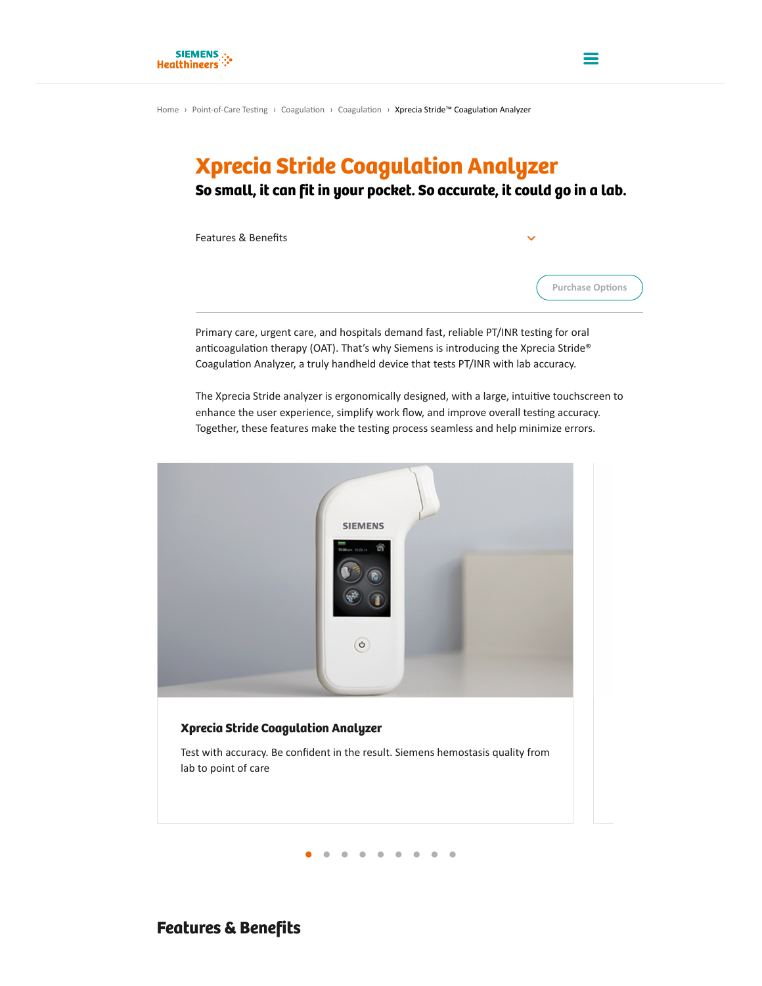# Xprecia Stride Coagulation Analyzer

So small, it can fit in your pocket. So accurate, it could go in a lab.

Features & Benefits



=

Primary care, urgent care, and hospitals demand fast, reliable PT/INR testing for oral anticoagulation therapy (OAT). That's why Siemens is introducing the Xprecia Stride® Coagulation Analyzer, a truly handheld device that tests PT/INR with lab accuracy.

The Xprecia Stride analyzer is ergonomically designed, with a large, intuitive touchscreen to enhance the user experience, simplify work flow, and improve overall testing accuracy. Together, these features make the testing process seamless and help minimize errors.



**● ● ● ● ● ● ● ● ●**

# Features & Benefits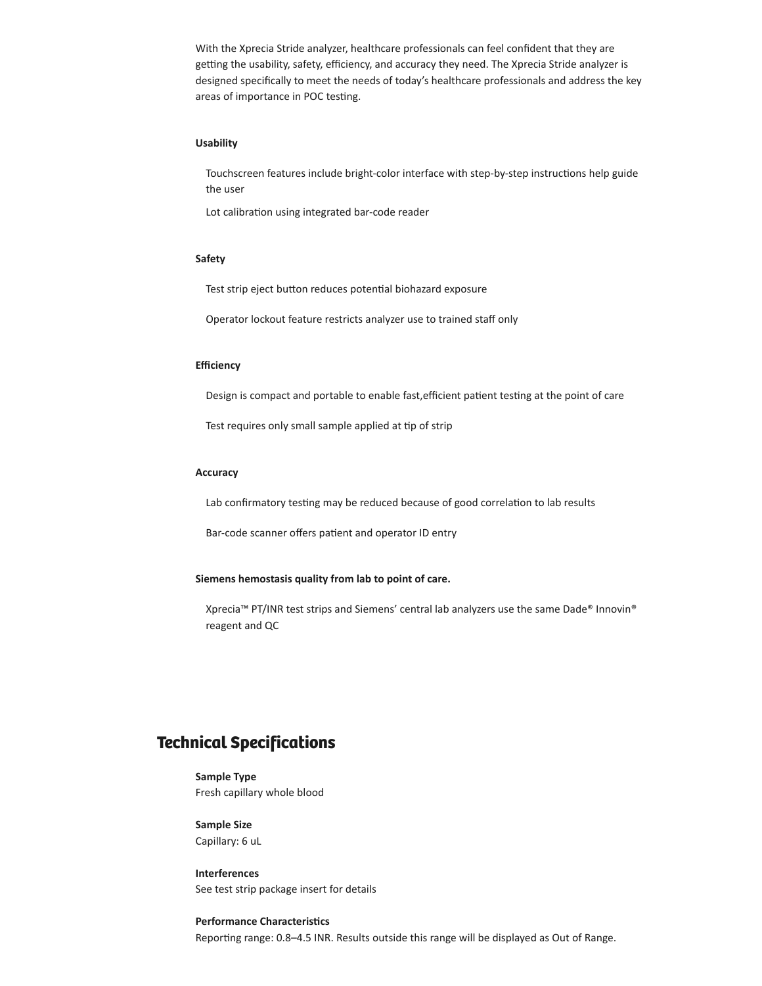With the Xprecia Stride analyzer, healthcare professionals can feel confident that they are getting the usability, safety, efficiency, and accuracy they need. The Xprecia Stride analyzer is designed specifically to meet the needs of today's healthcare professionals and address the key areas of importance in POC testing.

### **Usability**

Touchscreen features include bright-color interface with step-by-step instructions help guide the user

Lot calibration using integrated bar-code reader

### **Safety**

Test strip eject button reduces potential biohazard exposure

Operator lockout feature restricts analyzer use to trained staff only

#### **Efficiency**

Design is compact and portable to enable fast, efficient patient testing at the point of care

Test requires only small sample applied at tip of strip

### **Accuracy**

Lab confirmatory testing may be reduced because of good correlation to lab results

Bar-code scanner offers patient and operator ID entry

### **Siemens hemostasis quality from lab to point of care.**

Xprecia™ PT/INR test strips and Siemens' central lab analyzers use the same Dade® Innovin® reagent and QC

# Technical Specifications

**Sample Type**  Fresh capillary whole blood

**Sample Size**  Capillary: 6 uL

**Interferences**  See test strip package insert for details

## **Performance Characteristics** Reporting range: 0.8–4.5 INR. Results outside this range will be displayed as Out of Range.